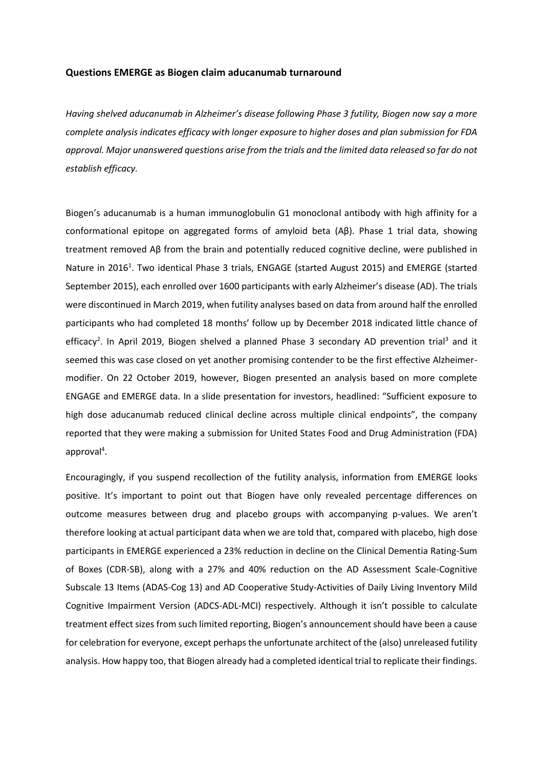## **Questions EMERGE as Biogen claim aducanumab turnaround**

*Having shelved aducanumab in Alzheimer's disease following Phase 3 futility, Biogen now say a more complete analysis indicates efficacy with longer exposure to higher doses and plan submission for FDA approval. Major unanswered questions arise from the trials and the limited data released so far do not establish efficacy.*

Biogen's aducanumab is a human immunoglobulin G1 monoclonal antibody with high affinity for a conformational epitope on aggregated forms of amyloid beta (Aβ). Phase 1 trial data, showing treatment removed Aβ from the brain and potentially reduced cognitive decline, were published in Nature in 201[6](https://paperpile.com/c/K8MKJO/eo72)<sup>1</sup>. Two identical Phase 3 trials, ENGAGE (started August 2015) and EMERGE (started September 2015), each enrolled over 1600 participants with early Alzheimer's disease (AD). The trials were discontinued in March 2019, when futility analyses based on data from around half the enrolled participants who had completed 18 months' follow up by December 2018 indicated little chance of efficac[y](https://paperpile.com/c/K8MKJO/9YZpr)<sup>2</sup>. In Apri[l](https://paperpile.com/c/K8MKJO/MQaf) 2019, Biogen shelved a planned Phase 3 secondary AD prevention trial<sup>3</sup> and it seemed this was case closed on yet another promising contender to be the first effective Alzheimermodifier. On 22 October 2019, however, Biogen presented an analysis based on more complete ENGAGE and EMERGE data. In a slide presentation for investors, headlined: "Sufficient exposure to high dose aducanumab reduced clinical decline across multiple clinical endpoints", the company reported that they were making a submission for United States Food and Drug Administration (FDA) approva[l](https://paperpile.com/c/K8MKJO/HAzGB)<sup>4</sup>.

Encouragingly, if you suspend recollection of the futility analysis, information from EMERGE looks positive. It's important to point out that Biogen have only revealed percentage differences on outcome measures between drug and placebo groups with accompanying p-values. We aren't therefore looking at actual participant data when we are told that, compared with placebo, high dose participants in EMERGE experienced a 23% reduction in decline on the Clinical Dementia Rating-Sum of Boxes (CDR-SB), along with a 27% and 40% reduction on the AD Assessment Scale-Cognitive Subscale 13 Items (ADAS-Cog 13) and AD Cooperative Study-Activities of Daily Living Inventory Mild Cognitive Impairment Version (ADCS-ADL-MCI) respectively. Although it isn't possible to calculate treatment effect sizes from such limited reporting, Biogen's announcement should have been a cause for celebration for everyone, except perhaps the unfortunate architect of the (also) unreleased futility analysis. How happy too, that Biogen already had a completed identical trial to replicate their findings.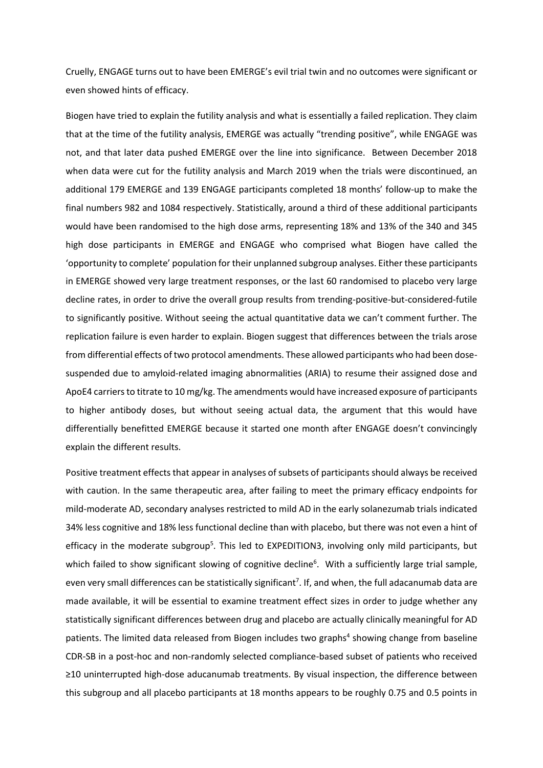Cruelly, ENGAGE turns out to have been EMERGE's evil trial twin and no outcomes were significant or even showed hints of efficacy.

Biogen have tried to explain the futility analysis and what is essentially a failed replication. They claim that at the time of the futility analysis, EMERGE was actually "trending positive", while ENGAGE was not, and that later data pushed EMERGE over the line into significance. Between December 2018 when data were cut for the futility analysis and March 2019 when the trials were discontinued, an additional 179 EMERGE and 139 ENGAGE participants completed 18 months' follow-up to make the final numbers 982 and 1084 respectively. Statistically, around a third of these additional participants would have been randomised to the high dose arms, representing 18% and 13% of the 340 and 345 high dose participants in EMERGE and ENGAGE who comprised what Biogen have called the 'opportunity to complete' population for their unplanned subgroup analyses. Either these participants in EMERGE showed very large treatment responses, or the last 60 randomised to placebo very large decline rates, in order to drive the overall group results from trending-positive-but-considered-futile to significantly positive. Without seeing the actual quantitative data we can't comment further. The replication failure is even harder to explain. Biogen suggest that differences between the trials arose from differential effects of two protocol amendments. These allowed participants who had been dosesuspended due to amyloid-related imaging abnormalities (ARIA) to resume their assigned dose and ApoE4 carriers to titrate to 10 mg/kg. The amendments would have increased exposure of participants to higher antibody doses, but without seeing actual data, the argument that this would have differentially benefitted EMERGE because it started one month after ENGAGE doesn't convincingly explain the different results.

Positive treatment effects that appear in analyses of subsets of participants should always be received with caution. In the same therapeutic area, after failing to meet the primary efficacy endpoints for mild-moderate AD, secondary analyses restricted to mild AD in the early solanezumab trials indicated 34% less cognitive and 18% less functional decline than with placebo, but there was not even a hint of efficacy in the moderate subgrou[p](https://paperpile.com/c/K8MKJO/XjCqg)<sup>5</sup>. This led to EXPEDITION3, involving only mild participants, but which fail[e](https://paperpile.com/c/K8MKJO/lbZPP)d to show significant slowing of cognitive decline<sup>6</sup>. With a sufficiently large trial sample, even very small differences can be s[t](https://paperpile.com/c/K8MKJO/oD2dv)atistically significant<sup>7</sup>. If, and when, the full adacanumab data are made available, it will be essential to examine treatment effect sizes in order to judge whether any statistically significant differences between drug and placebo are actually clinically meaningful for AD patients. The limited data released from Biogen includes two graphs<sup>[4](https://paperpile.com/c/K8MKJO/HAzGB)</sup> showing change from baseline CDR-SB in a post-hoc and non-randomly selected compliance-based subset of patients who received ≥10 uninterrupted high-dose aducanumab treatments. By visual inspection, the difference between this subgroup and all placebo participants at 18 months appears to be roughly 0.75 and 0.5 points in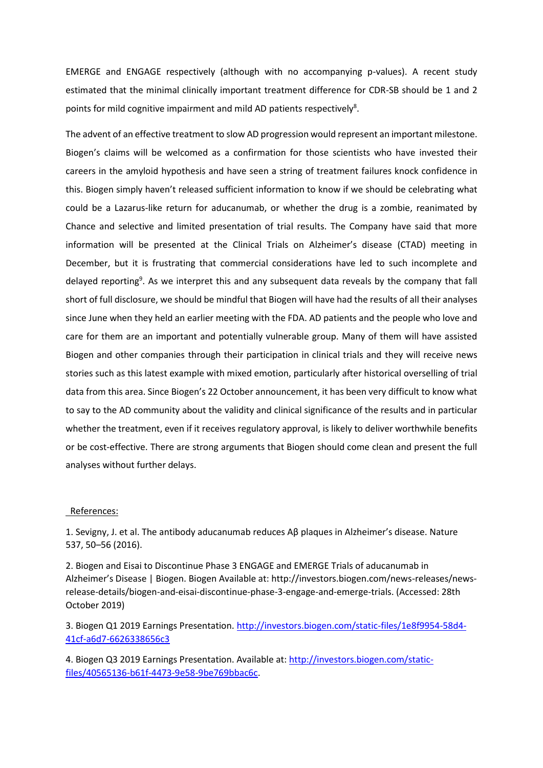EMERGE and ENGAGE respectively (although with no accompanying p-values). A recent study estimated that the minimal clinically important treatment difference for CDR-SB should be 1 and 2 points for mild cognitive impairment and mild AD patients respectively<sup>8</sup>.

The advent of an effective treatment to slow AD progression would represent an important milestone. Biogen's claims will be welcomed as a confirmation for those scientists who have invested their careers in the amyloid hypothesis and have seen a string of treatment failures knock confidence in this. Biogen simply haven't released sufficient information to know if we should be celebrating what could be a Lazarus-like return for aducanumab, or whether the drug is a zombie, reanimated by Chance and selective and limited presentation of trial results. The Company have said that more information will be presented at the Clinical Trials on Alzheimer's disease (CTAD) meeting in December, but it is frustrating that commercial considerations have led to such incomplete and delayed reportin[g](https://paperpile.com/c/K8MKJO/i7b9)<sup>9</sup>. As we interpret this and any subsequent data reveals by the company that fall short of full disclosure, we should be mindful that Biogen will have had the results of all their analyses since June when they held an earlier meeting with the FDA. AD patients and the people who love and care for them are an important and potentially vulnerable group. Many of them will have assisted Biogen and other companies through their participation in clinical trials and they will receive news stories such as this latest example with mixed emotion, particularly after historical overselling of trial data from this area. Since Biogen's 22 October announcement, it has been very difficult to know what to say to the AD community about the validity and clinical significance of the results and in particular whether the treatment, even if it receives regulatory approval, is likely to deliver worthwhile benefits or be cost-effective. There are strong arguments that Biogen should come clean and present the full analyses without further delays.

## References:

1. Sevigny, J. et al. The antibody aducanumab reduces Aβ plaques in Alzheimer's disease. Nature 537, 50–56 (2016).

2. Biogen and Eisai to Discontinue Phase 3 ENGAGE and EMERGE Trials of aducanumab in Alzheimer's Disease | Biogen. Biogen Available at: http://investors.biogen.com/news-releases/newsrelease-details/biogen-and-eisai-discontinue-phase-3-engage-and-emerge-trials. (Accessed: 28th October 2019)

3. Biogen Q1 2019 Earnings Presentation[. http://investors.biogen.com/static-files/1e8f9954-58d4-](http://investors.biogen.com/static-files/1e8f9954-58d4-41cf-a6d7-6626338656c3) [41cf-a6d7-6626338656c3](http://investors.biogen.com/static-files/1e8f9954-58d4-41cf-a6d7-6626338656c3)

4. Biogen Q3 2019 Earnings Presentation. Available at: [http://investors.biogen.com/static](http://investors.biogen.com/static-files/40565136-b61f-4473-9e58-9be769bbac6c)[files/40565136-b61f-4473-9e58-9be769bbac6c.](http://investors.biogen.com/static-files/40565136-b61f-4473-9e58-9be769bbac6c)